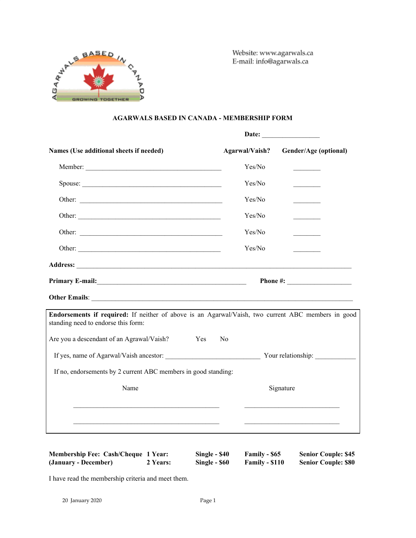

Website: www.agarwals.ca E-mail: info@agarwals.ca

# **AGARWALS BASED IN CANADA - MEMBERSHIP FORM**

| Names (Use additional sheets if needed)                                                                                                   | Agarwal/Vaish? | Gender/Age (optional)                         |  |
|-------------------------------------------------------------------------------------------------------------------------------------------|----------------|-----------------------------------------------|--|
|                                                                                                                                           | Yes/No         |                                               |  |
| Spouse:                                                                                                                                   | Yes/No         | <u> 1999 - Jan Jan Ja</u>                     |  |
| Other:                                                                                                                                    | Yes/No         | $\mathcal{L}$ . The contract of $\mathcal{L}$ |  |
|                                                                                                                                           | Yes/No         | <b>Contract Contract</b>                      |  |
|                                                                                                                                           | Yes/No         | <b>Contract Contract</b>                      |  |
|                                                                                                                                           | Yes/No         |                                               |  |
|                                                                                                                                           |                |                                               |  |
|                                                                                                                                           |                | Phone #: $\qquad \qquad$                      |  |
|                                                                                                                                           |                |                                               |  |
| Endorsements if required: If neither of above is an Agarwal/Vaish, two current ABC members in good<br>standing need to endorse this form: |                |                                               |  |
| Are you a descendant of an Agrawal/Vaish?<br>Yes                                                                                          | N <sub>0</sub> |                                               |  |
| If yes, name of Agarwal/Vaish ancestor: Your relationship:                                                                                |                |                                               |  |
| If no, endorsements by 2 current ABC members in good standing:                                                                            |                |                                               |  |
| Name                                                                                                                                      |                | Signature                                     |  |
|                                                                                                                                           |                |                                               |  |
|                                                                                                                                           |                |                                               |  |
|                                                                                                                                           |                |                                               |  |

| <b>Membership Fee: Cash/Cheque 1 Year:</b> |          | Single - \$40 | Family - \$65         | <b>Senior Couple: \$45</b> |
|--------------------------------------------|----------|---------------|-----------------------|----------------------------|
| (January - December)                       | 2 Years: | Single - \$60 | <b>Family - \$110</b> | <b>Senior Couple: \$80</b> |

I have read the membership criteria and meet them.